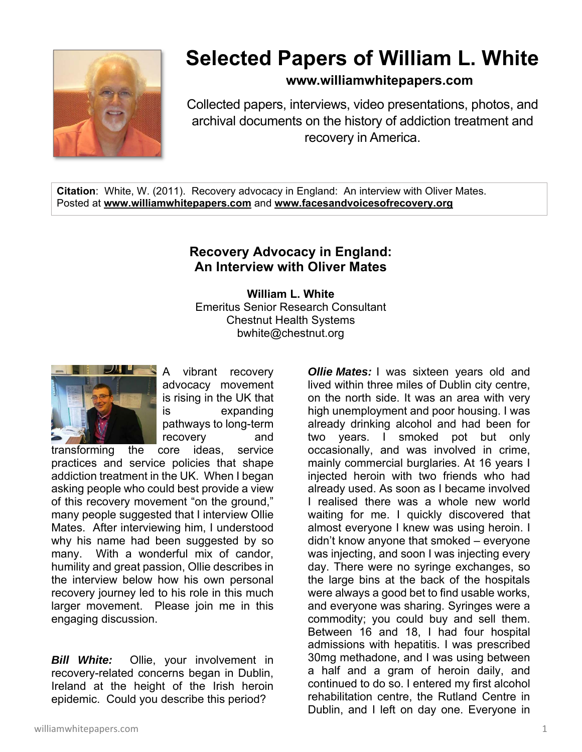

## **Selected Papers of William L. White**

**www.williamwhitepapers.com**

Collected papers, interviews, video presentations, photos, and archival documents on the history of addiction treatment and recovery in America.

**Citation**: White, W. (2011). Recovery advocacy in England: An interview with Oliver Mates. Posted at **www.williamwhitepapers.com** and **www.facesandvoicesofrecovery.org** 

## **Recovery Advocacy in England: An Interview with Oliver Mates**

**William L. White**  Emeritus Senior Research Consultant Chestnut Health Systems bwhite@chestnut.org



A vibrant recovery advocacy movement is rising in the UK that is expanding pathways to long-term recovery and

transforming the core ideas, service practices and service policies that shape addiction treatment in the UK. When I began asking people who could best provide a view of this recovery movement "on the ground," many people suggested that I interview Ollie Mates. After interviewing him, I understood why his name had been suggested by so many. With a wonderful mix of candor, humility and great passion, Ollie describes in the interview below how his own personal recovery journey led to his role in this much larger movement. Please join me in this engaging discussion.

*Bill White:*Ollie, your involvement in recovery-related concerns began in Dublin, Ireland at the height of the Irish heroin epidemic. Could you describe this period?

lived within three miles of Dublin city centre, on the north side. It was an area with very high unemployment and poor housing. I was already drinking alcohol and had been for two years. I smoked pot but only occasionally, and was involved in crime, mainly commercial burglaries. At 16 years I injected heroin with two friends who had already used. As soon as I became involved I realised there was a whole new world waiting for me. I quickly discovered that almost everyone I knew was using heroin. I didn't know anyone that smoked – everyone was injecting, and soon I was injecting every day. There were no syringe exchanges, so the large bins at the back of the hospitals were always a good bet to find usable works, and everyone was sharing. Syringes were a commodity; you could buy and sell them. Between 16 and 18, I had four hospital admissions with hepatitis. I was prescribed 30mg methadone, and I was using between a half and a gram of heroin daily, and continued to do so. I entered my first alcohol rehabilitation centre, the Rutland Centre in Dublin, and I left on day one. Everyone in

*Ollie Mates:* I was sixteen years old and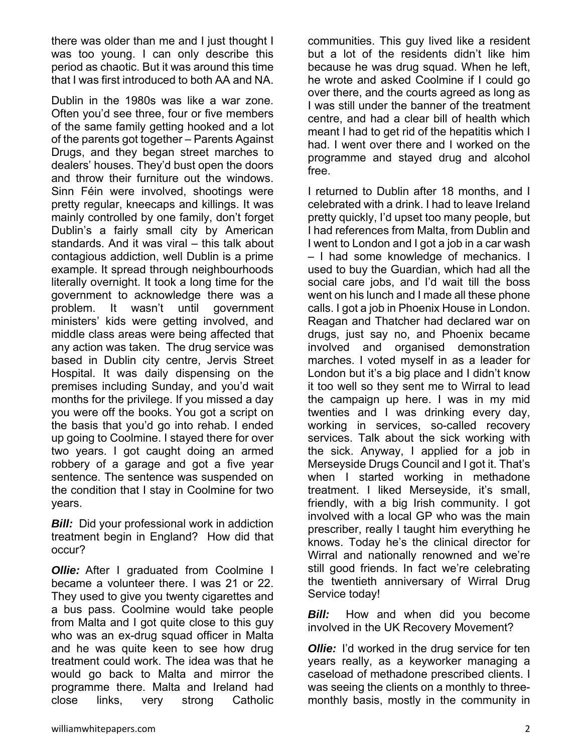there was older than me and I just thought I was too young. I can only describe this period as chaotic. But it was around this time that I was first introduced to both AA and NA.

Dublin in the 1980s was like a war zone. Often you'd see three, four or five members of the same family getting hooked and a lot of the parents got together – Parents Against Drugs, and they began street marches to dealers' houses. They'd bust open the doors and throw their furniture out the windows. Sinn Féin were involved, shootings were pretty regular, kneecaps and killings. It was mainly controlled by one family, don't forget Dublin's a fairly small city by American standards. And it was viral – this talk about contagious addiction, well Dublin is a prime example. It spread through neighbourhoods literally overnight. It took a long time for the government to acknowledge there was a problem. It wasn't until government ministers' kids were getting involved, and middle class areas were being affected that any action was taken. The drug service was based in Dublin city centre, Jervis Street Hospital. It was daily dispensing on the premises including Sunday, and you'd wait months for the privilege. If you missed a day you were off the books. You got a script on the basis that you'd go into rehab. I ended up going to Coolmine. I stayed there for over two years. I got caught doing an armed robbery of a garage and got a five year sentence. The sentence was suspended on the condition that I stay in Coolmine for two years.

*Bill:* Did your professional work in addiction treatment begin in England? How did that occur?

*Ollie:* After I graduated from Coolmine I became a volunteer there. I was 21 or 22. They used to give you twenty cigarettes and a bus pass. Coolmine would take people from Malta and I got quite close to this guy who was an ex-drug squad officer in Malta and he was quite keen to see how drug treatment could work. The idea was that he would go back to Malta and mirror the programme there. Malta and Ireland had close links, very strong Catholic

communities. This guy lived like a resident but a lot of the residents didn't like him because he was drug squad. When he left, he wrote and asked Coolmine if I could go over there, and the courts agreed as long as I was still under the banner of the treatment centre, and had a clear bill of health which meant I had to get rid of the hepatitis which I had. I went over there and I worked on the programme and stayed drug and alcohol free.

I returned to Dublin after 18 months, and I celebrated with a drink. I had to leave Ireland pretty quickly, I'd upset too many people, but I had references from Malta, from Dublin and I went to London and I got a job in a car wash – I had some knowledge of mechanics. I used to buy the Guardian, which had all the social care jobs, and I'd wait till the boss went on his lunch and I made all these phone calls. I got a job in Phoenix House in London. Reagan and Thatcher had declared war on drugs, just say no, and Phoenix became involved and organised demonstration marches. I voted myself in as a leader for London but it's a big place and I didn't know it too well so they sent me to Wirral to lead the campaign up here. I was in my mid twenties and I was drinking every day, working in services, so-called recovery services. Talk about the sick working with the sick. Anyway, I applied for a job in Merseyside Drugs Council and I got it. That's when I started working in methadone treatment. I liked Merseyside, it's small, friendly, with a big Irish community. I got involved with a local GP who was the main prescriber, really I taught him everything he knows. Today he's the clinical director for Wirral and nationally renowned and we're still good friends. In fact we're celebrating the twentieth anniversary of Wirral Drug Service today!

**Bill:** How and when did you become involved in the UK Recovery Movement?

*Ollie:* I'd worked in the drug service for ten years really, as a keyworker managing a caseload of methadone prescribed clients. I was seeing the clients on a monthly to threemonthly basis, mostly in the community in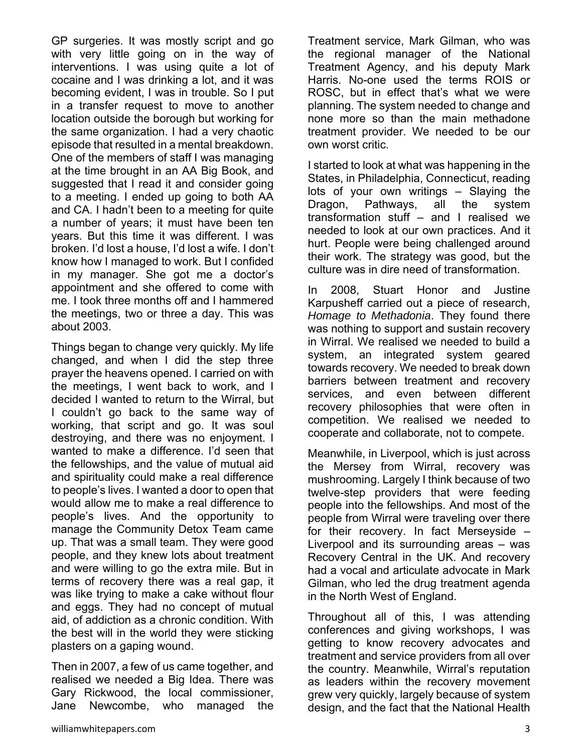GP surgeries. It was mostly script and go with very little going on in the way of interventions. I was using quite a lot of cocaine and I was drinking a lot, and it was becoming evident, I was in trouble. So I put in a transfer request to move to another location outside the borough but working for the same organization. I had a very chaotic episode that resulted in a mental breakdown. One of the members of staff I was managing at the time brought in an AA Big Book, and suggested that I read it and consider going to a meeting. I ended up going to both AA and CA. I hadn't been to a meeting for quite a number of years; it must have been ten years. But this time it was different. I was broken. I'd lost a house, I'd lost a wife. I don't know how I managed to work. But I confided in my manager. She got me a doctor's appointment and she offered to come with me. I took three months off and I hammered the meetings, two or three a day. This was about 2003.

Things began to change very quickly. My life changed, and when I did the step three prayer the heavens opened. I carried on with the meetings, I went back to work, and I decided I wanted to return to the Wirral, but I couldn't go back to the same way of working, that script and go. It was soul destroying, and there was no enjoyment. I wanted to make a difference. I'd seen that the fellowships, and the value of mutual aid and spirituality could make a real difference to people's lives. I wanted a door to open that would allow me to make a real difference to people's lives. And the opportunity to manage the Community Detox Team came up. That was a small team. They were good people, and they knew lots about treatment and were willing to go the extra mile. But in terms of recovery there was a real gap, it was like trying to make a cake without flour and eggs. They had no concept of mutual aid, of addiction as a chronic condition. With the best will in the world they were sticking plasters on a gaping wound.

Then in 2007, a few of us came together, and realised we needed a Big Idea. There was Gary Rickwood, the local commissioner, Jane Newcombe, who managed the

Treatment service, Mark Gilman, who was the regional manager of the National Treatment Agency, and his deputy Mark Harris. No-one used the terms ROIS or ROSC, but in effect that's what we were planning. The system needed to change and none more so than the main methadone treatment provider. We needed to be our own worst critic.

I started to look at what was happening in the States, in Philadelphia, Connecticut, reading lots of your own writings – Slaying the Dragon, Pathways, all the system transformation stuff – and I realised we needed to look at our own practices. And it hurt. People were being challenged around their work. The strategy was good, but the culture was in dire need of transformation.

In 2008, Stuart Honor and Justine Karpusheff carried out a piece of research, *Homage to Methadonia*. They found there was nothing to support and sustain recovery in Wirral. We realised we needed to build a system, an integrated system geared towards recovery. We needed to break down barriers between treatment and recovery services, and even between different recovery philosophies that were often in competition. We realised we needed to cooperate and collaborate, not to compete.

Meanwhile, in Liverpool, which is just across the Mersey from Wirral, recovery was mushrooming. Largely I think because of two twelve-step providers that were feeding people into the fellowships. And most of the people from Wirral were traveling over there for their recovery. In fact Merseyside – Liverpool and its surrounding areas – was Recovery Central in the UK. And recovery had a vocal and articulate advocate in Mark Gilman, who led the drug treatment agenda in the North West of England.

Throughout all of this, I was attending conferences and giving workshops, I was getting to know recovery advocates and treatment and service providers from all over the country. Meanwhile, Wirral's reputation as leaders within the recovery movement grew very quickly, largely because of system design, and the fact that the National Health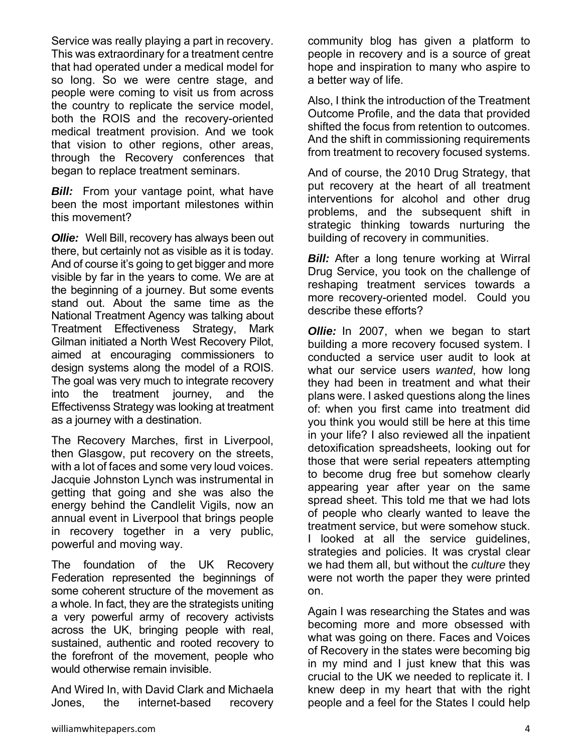Service was really playing a part in recovery. This was extraordinary for a treatment centre that had operated under a medical model for so long. So we were centre stage, and people were coming to visit us from across the country to replicate the service model, both the ROIS and the recovery-oriented medical treatment provision. And we took that vision to other regions, other areas, through the Recovery conferences that began to replace treatment seminars.

**Bill:** From your vantage point, what have been the most important milestones within this movement?

*Ollie:* Well Bill, recovery has always been out there, but certainly not as visible as it is today. And of course it's going to get bigger and more visible by far in the years to come. We are at the beginning of a journey. But some events stand out. About the same time as the National Treatment Agency was talking about Treatment Effectiveness Strategy, Mark Gilman initiated a North West Recovery Pilot, aimed at encouraging commissioners to design systems along the model of a ROIS. The goal was very much to integrate recovery into the treatment journey, and the Effectivenss Strategy was looking at treatment as a journey with a destination.

The Recovery Marches, first in Liverpool, then Glasgow, put recovery on the streets, with a lot of faces and some very loud voices. Jacquie Johnston Lynch was instrumental in getting that going and she was also the energy behind the Candlelit Vigils, now an annual event in Liverpool that brings people in recovery together in a very public, powerful and moving way.

The foundation of the UK Recovery Federation represented the beginnings of some coherent structure of the movement as a whole. In fact, they are the strategists uniting a very powerful army of recovery activists across the UK, bringing people with real, sustained, authentic and rooted recovery to the forefront of the movement, people who would otherwise remain invisible.

And Wired In, with David Clark and Michaela Jones, the internet-based recovery community blog has given a platform to people in recovery and is a source of great hope and inspiration to many who aspire to a better way of life.

Also, I think the introduction of the Treatment Outcome Profile, and the data that provided shifted the focus from retention to outcomes. And the shift in commissioning requirements from treatment to recovery focused systems.

And of course, the 2010 Drug Strategy, that put recovery at the heart of all treatment interventions for alcohol and other drug problems, and the subsequent shift in strategic thinking towards nurturing the building of recovery in communities.

*Bill:* After a long tenure working at Wirral Drug Service, you took on the challenge of reshaping treatment services towards a more recovery-oriented model. Could you describe these efforts?

*Ollie:* In 2007, when we began to start building a more recovery focused system. I conducted a service user audit to look at what our service users *wanted*, how long they had been in treatment and what their plans were. I asked questions along the lines of: when you first came into treatment did you think you would still be here at this time in your life? I also reviewed all the inpatient detoxification spreadsheets, looking out for those that were serial repeaters attempting to become drug free but somehow clearly appearing year after year on the same spread sheet. This told me that we had lots of people who clearly wanted to leave the treatment service, but were somehow stuck. I looked at all the service guidelines, strategies and policies. It was crystal clear we had them all, but without the *culture* they were not worth the paper they were printed on.

Again I was researching the States and was becoming more and more obsessed with what was going on there. Faces and Voices of Recovery in the states were becoming big in my mind and I just knew that this was crucial to the UK we needed to replicate it. I knew deep in my heart that with the right people and a feel for the States I could help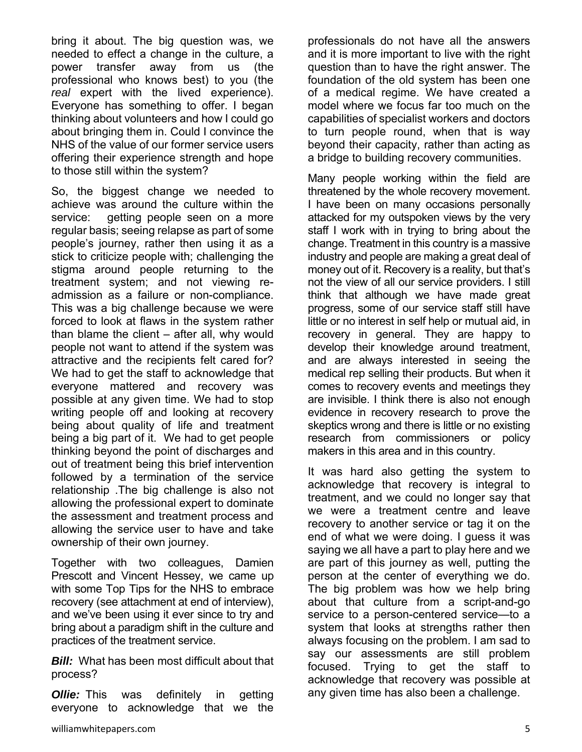bring it about. The big question was, we needed to effect a change in the culture, a power transfer away from us (the professional who knows best) to you (the *real* expert with the lived experience). Everyone has something to offer. I began thinking about volunteers and how I could go about bringing them in. Could I convince the NHS of the value of our former service users offering their experience strength and hope to those still within the system?

So, the biggest change we needed to achieve was around the culture within the service: getting people seen on a more regular basis; seeing relapse as part of some people's journey, rather then using it as a stick to criticize people with; challenging the stigma around people returning to the treatment system; and not viewing readmission as a failure or non-compliance. This was a big challenge because we were forced to look at flaws in the system rather than blame the client – after all, why would people not want to attend if the system was attractive and the recipients felt cared for? We had to get the staff to acknowledge that everyone mattered and recovery was possible at any given time. We had to stop writing people off and looking at recovery being about quality of life and treatment being a big part of it. We had to get people thinking beyond the point of discharges and out of treatment being this brief intervention followed by a termination of the service relationship .The big challenge is also not allowing the professional expert to dominate the assessment and treatment process and allowing the service user to have and take ownership of their own journey.

Together with two colleagues, Damien Prescott and Vincent Hessey, we came up with some Top Tips for the NHS to embrace recovery (see attachment at end of interview), and we've been using it ever since to try and bring about a paradigm shift in the culture and practices of the treatment service.

*Bill:*What has been most difficult about that process?

*Ollie:* This was definitely in getting everyone to acknowledge that we the professionals do not have all the answers and it is more important to live with the right question than to have the right answer. The foundation of the old system has been one of a medical regime. We have created a model where we focus far too much on the capabilities of specialist workers and doctors to turn people round, when that is way beyond their capacity, rather than acting as a bridge to building recovery communities.

Many people working within the field are threatened by the whole recovery movement. I have been on many occasions personally attacked for my outspoken views by the very staff I work with in trying to bring about the change. Treatment in this country is a massive industry and people are making a great deal of money out of it. Recovery is a reality, but that's not the view of all our service providers. I still think that although we have made great progress, some of our service staff still have little or no interest in self help or mutual aid, in recovery in general. They are happy to develop their knowledge around treatment, and are always interested in seeing the medical rep selling their products. But when it comes to recovery events and meetings they are invisible. I think there is also not enough evidence in recovery research to prove the skeptics wrong and there is little or no existing research from commissioners or policy makers in this area and in this country.

It was hard also getting the system to acknowledge that recovery is integral to treatment, and we could no longer say that we were a treatment centre and leave recovery to another service or tag it on the end of what we were doing. I guess it was saying we all have a part to play here and we are part of this journey as well, putting the person at the center of everything we do. The big problem was how we help bring about that culture from a script-and-go service to a person-centered service—to a system that looks at strengths rather then always focusing on the problem. I am sad to say our assessments are still problem focused. Trying to get the staff to acknowledge that recovery was possible at any given time has also been a challenge.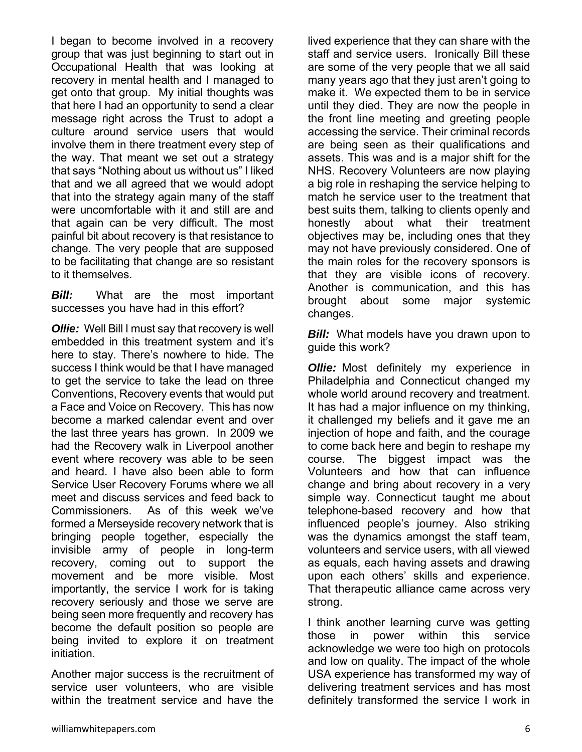I began to become involved in a recovery group that was just beginning to start out in Occupational Health that was looking at recovery in mental health and I managed to get onto that group. My initial thoughts was that here I had an opportunity to send a clear message right across the Trust to adopt a culture around service users that would involve them in there treatment every step of the way. That meant we set out a strategy that says "Nothing about us without us" I liked that and we all agreed that we would adopt that into the strategy again many of the staff were uncomfortable with it and still are and that again can be very difficult. The most painful bit about recovery is that resistance to change. The very people that are supposed to be facilitating that change are so resistant to it themselves.

*Bill:* What are the most important successes you have had in this effort?

*Ollie:* Well Bill I must say that recovery is well embedded in this treatment system and it's here to stay. There's nowhere to hide. The success I think would be that I have managed to get the service to take the lead on three Conventions, Recovery events that would put a Face and Voice on Recovery. This has now become a marked calendar event and over the last three years has grown. In 2009 we had the Recovery walk in Liverpool another event where recovery was able to be seen and heard. I have also been able to form Service User Recovery Forums where we all meet and discuss services and feed back to Commissioners. As of this week we've formed a Merseyside recovery network that is bringing people together, especially the invisible army of people in long-term recovery, coming out to support the movement and be more visible. Most importantly, the service I work for is taking recovery seriously and those we serve are being seen more frequently and recovery has become the default position so people are being invited to explore it on treatment initiation.

Another major success is the recruitment of service user volunteers, who are visible within the treatment service and have the

lived experience that they can share with the staff and service users. Ironically Bill these are some of the very people that we all said many years ago that they just aren't going to make it. We expected them to be in service until they died. They are now the people in the front line meeting and greeting people accessing the service. Their criminal records are being seen as their qualifications and assets. This was and is a major shift for the NHS. Recovery Volunteers are now playing a big role in reshaping the service helping to match he service user to the treatment that best suits them, talking to clients openly and honestly about what their treatment objectives may be, including ones that they may not have previously considered. One of the main roles for the recovery sponsors is that they are visible icons of recovery. Another is communication, and this has brought about some major systemic changes.

*Bill:* What models have you drawn upon to guide this work?

*Ollie:* Most definitely my experience in Philadelphia and Connecticut changed my whole world around recovery and treatment. It has had a major influence on my thinking, it challenged my beliefs and it gave me an injection of hope and faith, and the courage to come back here and begin to reshape my course. The biggest impact was the Volunteers and how that can influence change and bring about recovery in a very simple way. Connecticut taught me about telephone-based recovery and how that influenced people's journey. Also striking was the dynamics amongst the staff team, volunteers and service users, with all viewed as equals, each having assets and drawing upon each others' skills and experience. That therapeutic alliance came across very strong.

I think another learning curve was getting those in power within this service acknowledge we were too high on protocols and low on quality. The impact of the whole USA experience has transformed my way of delivering treatment services and has most definitely transformed the service I work in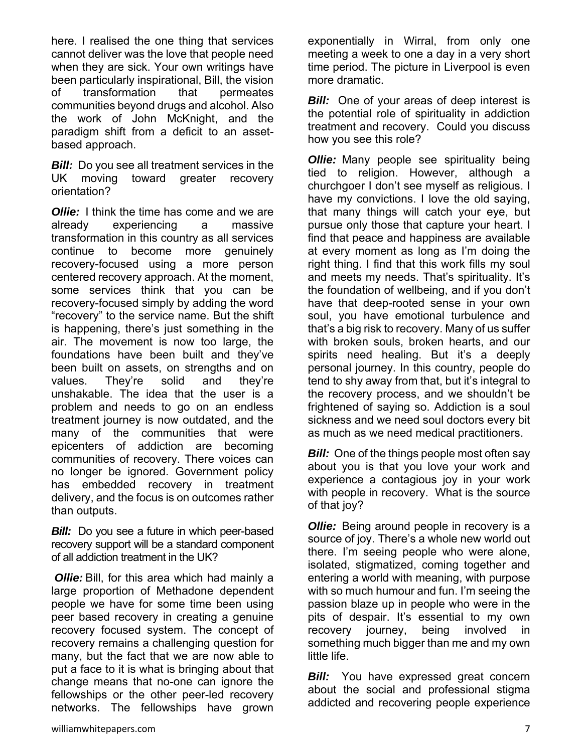here. I realised the one thing that services cannot deliver was the love that people need when they are sick. Your own writings have been particularly inspirational, Bill, the vision of transformation that permeates communities beyond drugs and alcohol. Also the work of John McKnight, and the paradigm shift from a deficit to an assetbased approach.

*Bill:* Do you see all treatment services in the UK moving toward greater recovery orientation?

*Ollie:* I think the time has come and we are already experiencing a massive transformation in this country as all services continue to become more genuinely recovery-focused using a more person centered recovery approach. At the moment, some services think that you can be recovery-focused simply by adding the word "recovery" to the service name. But the shift is happening, there's just something in the air. The movement is now too large, the foundations have been built and they've been built on assets, on strengths and on values. They're solid and they're unshakable. The idea that the user is a problem and needs to go on an endless treatment journey is now outdated, and the many of the communities that were epicenters of addiction are becoming communities of recovery. There voices can no longer be ignored. Government policy has embedded recovery in treatment delivery, and the focus is on outcomes rather than outputs.

*Bill:* Do you see a future in which peer-based recovery support will be a standard component of all addiction treatment in the UK?

*Ollie:* Bill, for this area which had mainly a large proportion of Methadone dependent people we have for some time been using peer based recovery in creating a genuine recovery focused system. The concept of recovery remains a challenging question for many, but the fact that we are now able to put a face to it is what is bringing about that change means that no-one can ignore the fellowships or the other peer-led recovery networks. The fellowships have grown exponentially in Wirral, from only one meeting a week to one a day in a very short time period. The picture in Liverpool is even more dramatic.

*Bill:* One of your areas of deep interest is the potential role of spirituality in addiction treatment and recovery. Could you discuss how you see this role?

*Ollie:* Many people see spirituality being tied to religion. However, although a churchgoer I don't see myself as religious. I have my convictions. I love the old saying, that many things will catch your eye, but pursue only those that capture your heart. I find that peace and happiness are available at every moment as long as I'm doing the right thing. I find that this work fills my soul and meets my needs. That's spirituality. It's the foundation of wellbeing, and if you don't have that deep-rooted sense in your own soul, you have emotional turbulence and that's a big risk to recovery. Many of us suffer with broken souls, broken hearts, and our spirits need healing. But it's a deeply personal journey. In this country, people do tend to shy away from that, but it's integral to the recovery process, and we shouldn't be frightened of saying so. Addiction is a soul sickness and we need soul doctors every bit as much as we need medical practitioners.

*Bill:* One of the things people most often say about you is that you love your work and experience a contagious joy in your work with people in recovery. What is the source of that joy?

*Ollie:* Being around people in recovery is a source of joy. There's a whole new world out there. I'm seeing people who were alone, isolated, stigmatized, coming together and entering a world with meaning, with purpose with so much humour and fun. I'm seeing the passion blaze up in people who were in the pits of despair. It's essential to my own recovery journey, being involved in something much bigger than me and my own little life.

*Bill:* You have expressed great concern about the social and professional stigma addicted and recovering people experience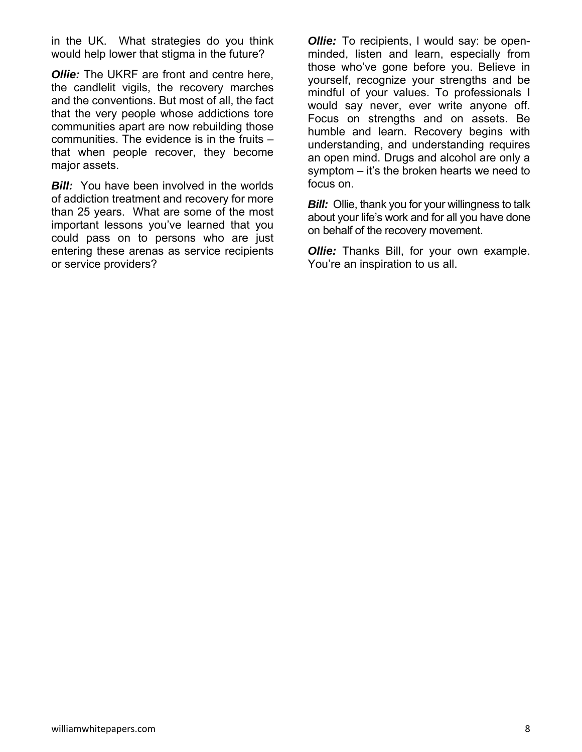in the UK. What strategies do you think would help lower that stigma in the future?

*Ollie:* The UKRF are front and centre here, the candlelit vigils, the recovery marches and the conventions. But most of all, the fact that the very people whose addictions tore communities apart are now rebuilding those communities. The evidence is in the fruits – that when people recover, they become major assets.

*Bill:* You have been involved in the worlds of addiction treatment and recovery for more than 25 years. What are some of the most important lessons you've learned that you could pass on to persons who are just entering these arenas as service recipients or service providers?

*Ollie:* To recipients, I would say: be openminded, listen and learn, especially from those who've gone before you. Believe in yourself, recognize your strengths and be mindful of your values. To professionals I would say never, ever write anyone off. Focus on strengths and on assets. Be humble and learn. Recovery begins with understanding, and understanding requires an open mind. Drugs and alcohol are only a symptom – it's the broken hearts we need to focus on.

*Bill:* Ollie, thank you for your willingness to talk about your life's work and for all you have done on behalf of the recovery movement.

**Ollie:** Thanks Bill, for your own example. You're an inspiration to us all.